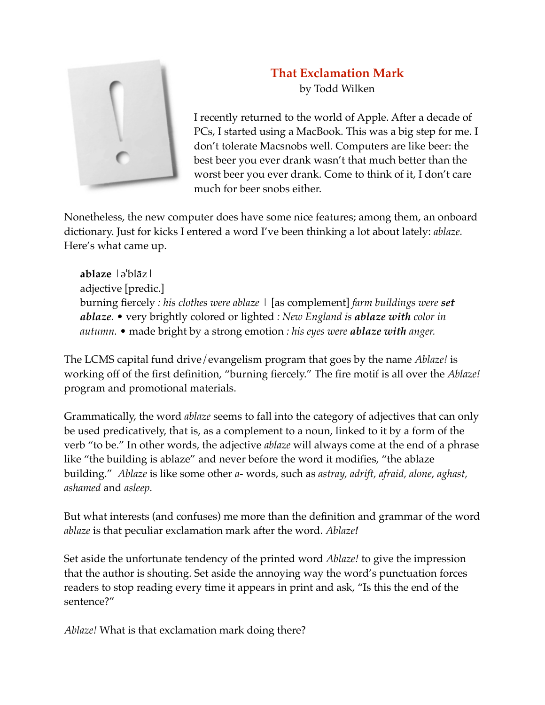

## **That Exclamation Mark** by Todd Wilken

I recently returned to the world of Apple. After a decade of PCs, I started using a MacBook. This was a big step for me. I don't tolerate Macsnobs well. Computers are like beer: the best beer you ever drank wasn't that much better than the worst beer you ever drank. Come to think of it, I don't care much for beer snobs either.

Nonetheless, the new computer does have some nice features; among them, an onboard dictionary. Just for kicks I entered a word I've been thinking a lot about lately: *ablaze.*  Here's what came up.

**ablaze** |əˈblāz| adjective [predic.] burning fiercely *: his clothes were ablaze* | [as complement] *farm buildings were set ablaze.* • very brightly colored or lighted *: New England is ablaze with color in autumn.* • made bright by a strong emotion *: his eyes were ablaze with anger.*

The LCMS capital fund drive/evangelism program that goes by the name *Ablaze!* is working off of the first definition, "burning fiercely." The fire motif is all over the *Ablaze!* program and promotional materials.

Grammatically, the word *ablaze* seems to fall into the category of adjectives that can only be used predicatively, that is, as a complement to a noun, linked to it by a form of the verb "to be." In other words, the adjective *ablaze* will always come at the end of a phrase like "the building is ablaze" and never before the word it modifies, "the ablaze building." *Ablaze* is like some other *a-* words, such as *astray, adrift, afraid, alone*, *aghast, ashamed* and *asleep.*

But what interests (and confuses) me more than the definition and grammar of the word *ablaze* is that peculiar exclamation mark after the word. *Ablaze!*

Set aside the unfortunate tendency of the printed word *Ablaze!* to give the impression that the author is shouting. Set aside the annoying way the word's punctuation forces readers to stop reading every time it appears in print and ask, "Is this the end of the sentence?"

*Ablaze!* What is that exclamation mark doing there?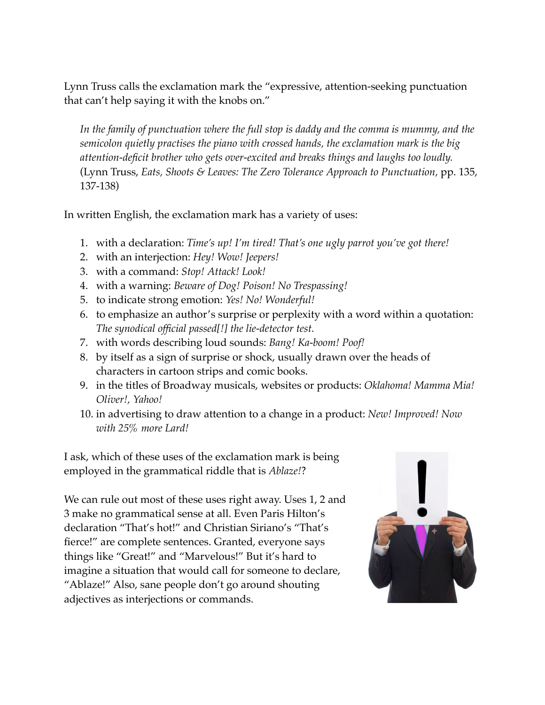Lynn Truss calls the exclamation mark the "expressive, attention-seeking punctuation that can't help saying it with the knobs on."

*In the family of punctuation where the full stop is daddy and the comma is mummy, and the semicolon quietly practises the piano with crossed hands, the exclamation mark is the big attention-deficit brother who gets over-excited and breaks things and laughs too loudly.* (Lynn Truss, *Eats, Shoots & Leaves: The Zero Tolerance Approach to Punctuation,* pp. 135, 137-138)

In written English, the exclamation mark has a variety of uses:

- 1. with a declaration: *Time's up! I'm tired! That's one ugly parrot you've got there!*
- 2. with an interjection: *Hey! Wow! Jeepers!*
- 3. with a command: *Stop! Attack! Look!*
- 4. with a warning: *Beware of Dog! Poison! No Trespassing!*
- 5. to indicate strong emotion: *Yes! No! Wonderful!*
- 6. to emphasize an author's surprise or perplexity with a word within a quotation: *The synodical official passed[!] the lie-detector test.*
- 7. with words describing loud sounds: *Bang! Ka-boom! Poof!*
- 8. by itself as a sign of surprise or shock, usually drawn over the heads of characters in cartoon strips and comic books.
- 9. in the titles of Broadway musicals, websites or products: *Oklahoma! Mamma Mia! Oliver!, Yahoo!*
- 10. in advertising to draw attention to a change in a product: *New! Improved! Now with 25% more Lard!*

I ask, which of these uses of the exclamation mark is being employed in the grammatical riddle that is *Ablaze!*?

We can rule out most of these uses right away. Uses 1, 2 and 3 make no grammatical sense at all. Even Paris Hilton's declaration "That's hot!" and Christian Siriano's "That's fierce!" are complete sentences. Granted, everyone says things like "Great!" and "Marvelous!" But it's hard to imagine a situation that would call for someone to declare, "Ablaze!" Also, sane people don't go around shouting adjectives as interjections or commands.

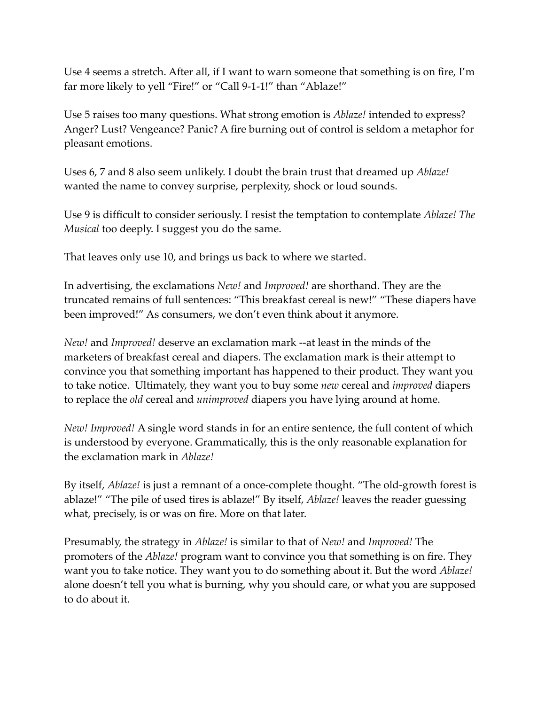Use 4 seems a stretch. After all, if I want to warn someone that something is on fire, I'm far more likely to yell "Fire!" or "Call 9-1-1!" than "Ablaze!"

Use 5 raises too many questions. What strong emotion is *Ablaze!* intended to express? Anger? Lust? Vengeance? Panic? A fire burning out of control is seldom a metaphor for pleasant emotions.

Uses 6, 7 and 8 also seem unlikely. I doubt the brain trust that dreamed up *Ablaze!*  wanted the name to convey surprise, perplexity, shock or loud sounds.

Use 9 is difficult to consider seriously. I resist the temptation to contemplate *Ablaze! The Musical* too deeply. I suggest you do the same.

That leaves only use 10, and brings us back to where we started.

In advertising, the exclamations *New!* and *Improved!* are shorthand. They are the truncated remains of full sentences: "This breakfast cereal is new!" "These diapers have been improved!" As consumers, we don't even think about it anymore.

*New!* and *Improved!* deserve an exclamation mark --at least in the minds of the marketers of breakfast cereal and diapers. The exclamation mark is their attempt to convince you that something important has happened to their product. They want you to take notice. Ultimately, they want you to buy some *new* cereal and *improved* diapers to replace the *old* cereal and *unimproved* diapers you have lying around at home.

*New! Improved!* A single word stands in for an entire sentence, the full content of which is understood by everyone. Grammatically, this is the only reasonable explanation for the exclamation mark in *Ablaze!*

By itself, *Ablaze!* is just a remnant of a once-complete thought. "The old-growth forest is ablaze!" "The pile of used tires is ablaze!" By itself, *Ablaze!* leaves the reader guessing what, precisely, is or was on fire. More on that later.

Presumably, the strategy in *Ablaze!* is similar to that of *New!* and *Improved!* The promoters of the *Ablaze!* program want to convince you that something is on fire. They want you to take notice. They want you to do something about it. But the word *Ablaze!*  alone doesn't tell you what is burning, why you should care, or what you are supposed to do about it.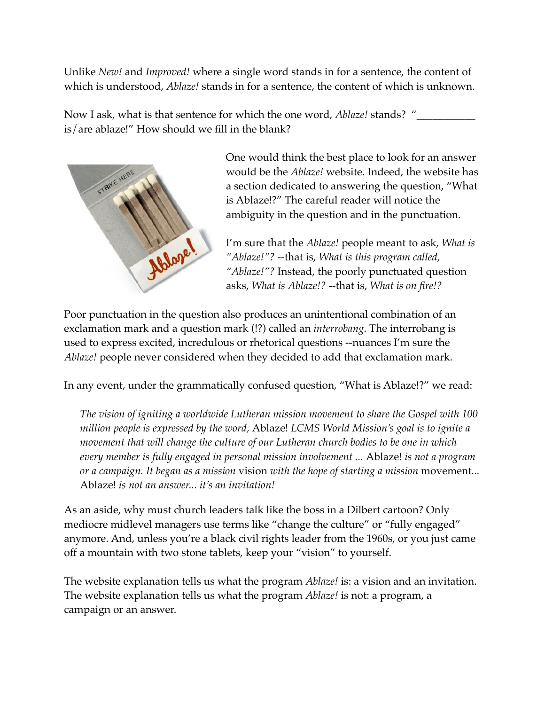Unlike *New!* and *Improved!* where a single word stands in for a sentence, the content of which is understood, *Ablaze!* stands in for a sentence, the content of which is unknown.

Now I ask, what is that sentence for which the one word, *Ablaze!* stands? " is/are ablaze!" How should we fill in the blank?



One would think the best place to look for an answer would be the *Ablaze!* website. Indeed, the website has a section dedicated to answering the question, "What is Ablaze!?" The careful reader will notice the ambiguity in the question and in the punctuation.

I'm sure that the *Ablaze!* people meant to ask, *What is "Ablaze!"?* --that is, *What is this program called, "Ablaze!"?* Instead, the poorly punctuated question asks, *What is Ablaze!?* --that is, *What is on fire!?* 

Poor punctuation in the question also produces an unintentional combination of an exclamation mark and a question mark (!?) called an *interrobang*. The interrobang is used to express excited, incredulous or rhetorical questions --nuances I'm sure the *Ablaze!* people never considered when they decided to add that exclamation mark.

In any event, under the grammatically confused question, "What is Ablaze!?" we read:

*The vision of igniting a worldwide Lutheran mission movement to share the Gospel with 100 million people is expressed by the word,* Ablaze! *LCMS World Mission's goal is to ignite a movement that will change the culture of our Lutheran church bodies to be one in which every member is fully engaged in personal mission involvement ...* Ablaze! *is not a program or a campaign. It began as a mission* vision *with the hope of starting a mission* movement*...*  Ablaze! *is not an answer... it's an invitation!*

As an aside, why must church leaders talk like the boss in a Dilbert cartoon? Only mediocre midlevel managers use terms like "change the culture" or "fully engaged" anymore. And, unless you're a black civil rights leader from the 1960s, or you just came off a mountain with two stone tablets, keep your "vision" to yourself.

The website explanation tells us what the program *Ablaze!* is: a vision and an invitation. The website explanation tells us what the program *Ablaze!* is not: a program, a campaign or an answer.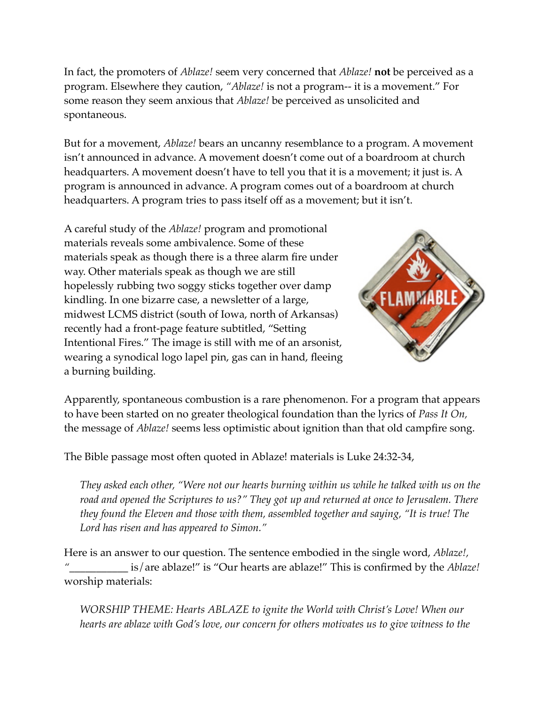In fact, the promoters of *Ablaze!* seem very concerned that *Ablaze!* **not** be perceived as a program. Elsewhere they caution, *"Ablaze!* is not a program-- it is a movement." For some reason they seem anxious that *Ablaze!* be perceived as unsolicited and spontaneous.

But for a movement, *Ablaze!* bears an uncanny resemblance to a program. A movement isn't announced in advance. A movement doesn't come out of a boardroom at church headquarters. A movement doesn't have to tell you that it is a movement; it just is. A program is announced in advance. A program comes out of a boardroom at church headquarters. A program tries to pass itself off as a movement; but it isn't.

A careful study of the *Ablaze!* program and promotional materials reveals some ambivalence. Some of these materials speak as though there is a three alarm fire under way. Other materials speak as though we are still hopelessly rubbing two soggy sticks together over damp kindling. In one bizarre case, a newsletter of a large, midwest LCMS district (south of Iowa, north of Arkansas) recently had a front-page feature subtitled, "Setting Intentional Fires." The image is still with me of an arsonist, wearing a synodical logo lapel pin, gas can in hand, fleeing a burning building.



Apparently, spontaneous combustion is a rare phenomenon. For a program that appears to have been started on no greater theological foundation than the lyrics of *Pass It On,* the message of *Ablaze!* seems less optimistic about ignition than that old campfire song.

The Bible passage most often quoted in Ablaze! materials is Luke 24:32-34,

*They asked each other, "Were not our hearts burning within us while he talked with us on the road and opened the Scriptures to us?" They got up and returned at once to Jerusalem. There they found the Eleven and those with them, assembled together and saying, "It is true! The Lord has risen and has appeared to Simon."*

Here is an answer to our question. The sentence embodied in the single word, *Ablaze!,*  is/are ablaze!" is "Our hearts are ablaze!" This is confirmed by the *Ablaze!* worship materials:

*WORSHIP THEME: Hearts ABLAZE to ignite the World with Christ's Love! When our hearts are ablaze with God's love, our concern for others motivates us to give witness to the*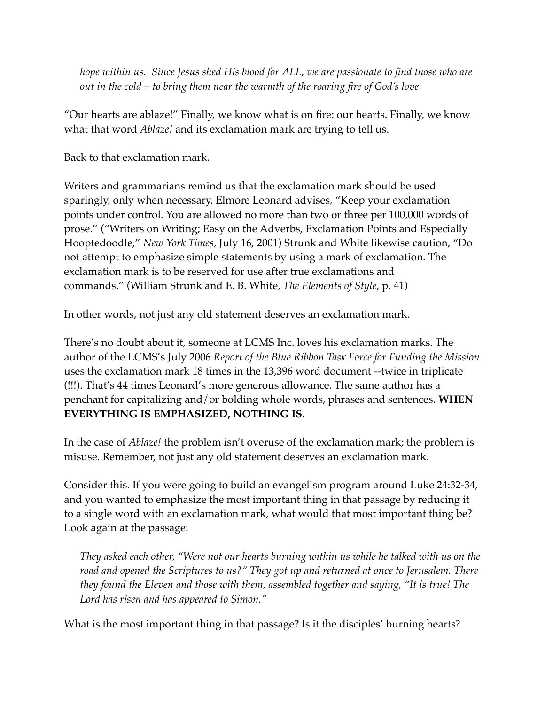*hope within us. Since Jesus shed His blood for ALL, we are passionate to find those who are out in the cold – to bring them near the warmth of the roaring fire of God's love.*

"Our hearts are ablaze!" Finally, we know what is on fire: our hearts. Finally, we know what that word *Ablaze!* and its exclamation mark are trying to tell us.

Back to that exclamation mark.

Writers and grammarians remind us that the exclamation mark should be used sparingly, only when necessary. Elmore Leonard advises, "Keep your exclamation points under control. You are allowed no more than two or three per 100,000 words of prose." ("Writers on Writing; Easy on the Adverbs, Exclamation Points and Especially Hooptedoodle," *New York Times,* July 16, 2001) Strunk and White likewise caution, "Do not attempt to emphasize simple statements by using a mark of exclamation. The exclamation mark is to be reserved for use after true exclamations and commands." (William Strunk and E. B. White, *The Elements of Style,* p. 41)

In other words, not just any old statement deserves an exclamation mark.

There's no doubt about it, someone at LCMS Inc. loves his exclamation marks. The author of the LCMS's July 2006 *Report of the Blue Ribbon Task Force for Funding the Mission* uses the exclamation mark 18 times in the 13,396 word document --twice in triplicate (!!!). That's 44 times Leonard's more generous allowance. The same author has a penchant for capitalizing and/or bolding whole words, phrases and sentences. **WHEN EVERYTHING IS EMPHASIZED, NOTHING IS.**

In the case of *Ablaze!* the problem isn't overuse of the exclamation mark; the problem is misuse. Remember, not just any old statement deserves an exclamation mark.

Consider this. If you were going to build an evangelism program around Luke 24:32-34, and you wanted to emphasize the most important thing in that passage by reducing it to a single word with an exclamation mark, what would that most important thing be? Look again at the passage:

*They asked each other, "Were not our hearts burning within us while he talked with us on the road and opened the Scriptures to us?" They got up and returned at once to Jerusalem. There they found the Eleven and those with them, assembled together and saying, "It is true! The Lord has risen and has appeared to Simon."*

What is the most important thing in that passage? Is it the disciples' burning hearts?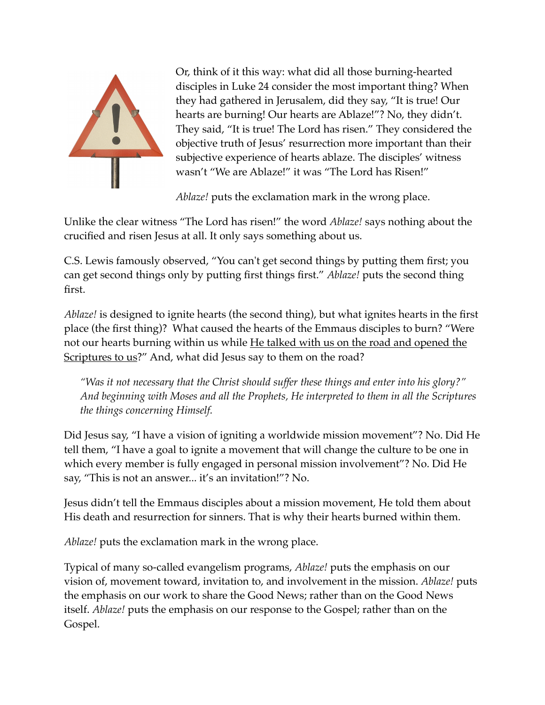

Or, think of it this way: what did all those burning-hearted disciples in Luke 24 consider the most important thing? When they had gathered in Jerusalem, did they say, "It is true! Our hearts are burning! Our hearts are Ablaze!"? No, they didn't. They said, "It is true! The Lord has risen." They considered the objective truth of Jesus' resurrection more important than their subjective experience of hearts ablaze. The disciples' witness wasn't "We are Ablaze!" it was "The Lord has Risen!"

*Ablaze!* puts the exclamation mark in the wrong place.

Unlike the clear witness "The Lord has risen!" the word *Ablaze!* says nothing about the crucified and risen Jesus at all. It only says something about us.

C.S. Lewis famously observed, "You can't get second things by putting them first; you can get second things only by putting first things first." *Ablaze!* puts the second thing first.

*Ablaze!* is designed to ignite hearts (the second thing), but what ignites hearts in the first place (the first thing)? What caused the hearts of the Emmaus disciples to burn? "Were not our hearts burning within us while He talked with us on the road and opened the Scriptures to us?" And, what did Jesus say to them on the road?

*"Was it not necessary that the Christ should suffer these things and enter into his glory?" And beginning with Moses and all the Prophets, He interpreted to them in all the Scriptures the things concerning Himself.*

Did Jesus say, "I have a vision of igniting a worldwide mission movement"? No. Did He tell them, "I have a goal to ignite a movement that will change the culture to be one in which every member is fully engaged in personal mission involvement"? No. Did He say, "This is not an answer... it's an invitation!"? No.

Jesus didn't tell the Emmaus disciples about a mission movement, He told them about His death and resurrection for sinners. That is why their hearts burned within them.

*Ablaze!* puts the exclamation mark in the wrong place.

Typical of many so-called evangelism programs, *Ablaze!* puts the emphasis on our vision of, movement toward, invitation to, and involvement in the mission. *Ablaze!* puts the emphasis on our work to share the Good News; rather than on the Good News itself. *Ablaze!* puts the emphasis on our response to the Gospel; rather than on the Gospel.